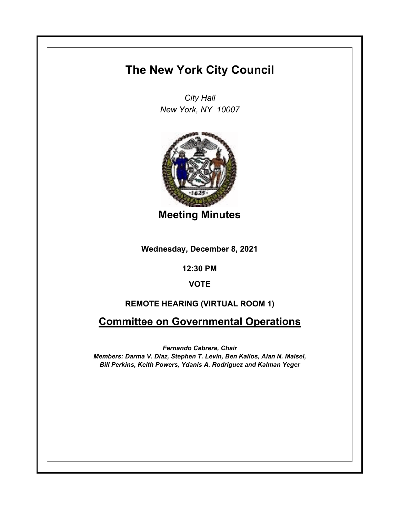# **The New York City Council**

*City Hall New York, NY 10007*



**Meeting Minutes**

**Wednesday, December 8, 2021**

**12:30 PM**

**VOTE**

## **REMOTE HEARING (VIRTUAL ROOM 1)**

**Committee on Governmental Operations**

*Fernando Cabrera, Chair Members: Darma V. Diaz, Stephen T. Levin, Ben Kallos, Alan N. Maisel, Bill Perkins, Keith Powers, Ydanis A. Rodriguez and Kalman Yeger*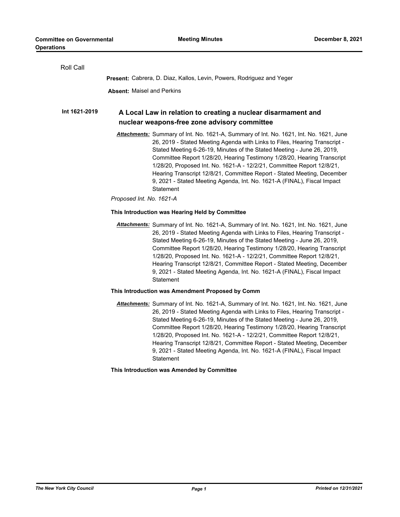| Roll Call     |                                                                                                                                                                                                                                                                                                                                                                                                                                                                                                                                                                        |
|---------------|------------------------------------------------------------------------------------------------------------------------------------------------------------------------------------------------------------------------------------------------------------------------------------------------------------------------------------------------------------------------------------------------------------------------------------------------------------------------------------------------------------------------------------------------------------------------|
|               | Present: Cabrera, D. Diaz, Kallos, Levin, Powers, Rodriguez and Yeger                                                                                                                                                                                                                                                                                                                                                                                                                                                                                                  |
|               | <b>Absent: Maisel and Perkins</b>                                                                                                                                                                                                                                                                                                                                                                                                                                                                                                                                      |
| Int 1621-2019 | A Local Law in relation to creating a nuclear disarmament and<br>nuclear weapons-free zone advisory committee                                                                                                                                                                                                                                                                                                                                                                                                                                                          |
|               | Attachments: Summary of Int. No. 1621-A, Summary of Int. No. 1621, Int. No. 1621, June<br>26, 2019 - Stated Meeting Agenda with Links to Files, Hearing Transcript -<br>Stated Meeting 6-26-19, Minutes of the Stated Meeting - June 26, 2019,<br>Committee Report 1/28/20, Hearing Testimony 1/28/20, Hearing Transcript<br>1/28/20, Proposed Int. No. 1621-A - 12/2/21, Committee Report 12/8/21,<br>Hearing Transcript 12/8/21, Committee Report - Stated Meeting, December<br>9, 2021 - Stated Meeting Agenda, Int. No. 1621-A (FINAL), Fiscal Impact<br>Statement |
|               | Proposed Int. No. 1621-A                                                                                                                                                                                                                                                                                                                                                                                                                                                                                                                                               |
|               | This Introduction was Hearing Held by Committee                                                                                                                                                                                                                                                                                                                                                                                                                                                                                                                        |
|               | Attachments: Summary of Int. No. 1621-A, Summary of Int. No. 1621, Int. No. 1621, June<br>26, 2019 - Stated Meeting Agenda with Links to Files, Hearing Transcript -<br>Stated Meeting 6-26-19, Minutes of the Stated Meeting - June 26, 2019,<br>Committee Report 1/28/20, Hearing Testimony 1/28/20, Hearing Transcript<br>1/28/20, Proposed Int. No. 1621-A - 12/2/21, Committee Report 12/8/21,<br>Hearing Transcript 12/8/21, Committee Report - Stated Meeting, December<br>9, 2021 - Stated Meeting Agenda, Int. No. 1621-A (FINAL), Fiscal Impact<br>Statement |
|               | This Introduction was Amendment Proposed by Comm                                                                                                                                                                                                                                                                                                                                                                                                                                                                                                                       |
|               | Attachments: Summary of Int. No. 1621-A, Summary of Int. No. 1621, Int. No. 1621, June<br>26, 2019 - Stated Meeting Agenda with Links to Files, Hearing Transcript -<br>Stated Meeting 6-26-19, Minutes of the Stated Meeting - June 26, 2019,<br>Committee Report 1/28/20, Hearing Testimony 1/28/20, Hearing Transcript<br>1/28/20, Proposed Int. No. 1621-A - 12/2/21, Committee Report 12/8/21,<br>Hearing Transcript 12/8/21, Committee Report - Stated Meeting, December<br>9, 2021 - Stated Meeting Agenda, Int. No. 1621-A (FINAL), Fiscal Impact<br>Statement |
|               | This Introduction was Amended by Committee                                                                                                                                                                                                                                                                                                                                                                                                                                                                                                                             |
|               |                                                                                                                                                                                                                                                                                                                                                                                                                                                                                                                                                                        |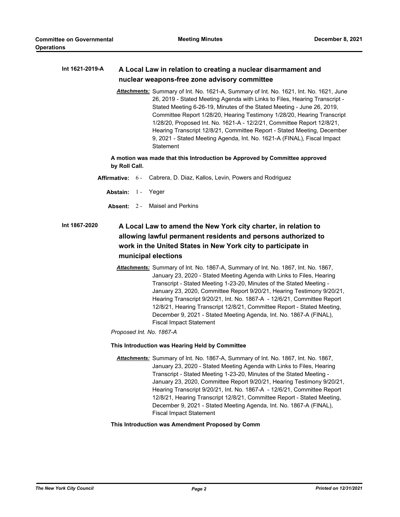#### **A Local Law in relation to creating a nuclear disarmament and nuclear weapons-free zone advisory committee Int 1621-2019-A**

*Attachments:* Summary of Int. No. 1621-A, Summary of Int. No. 1621, Int. No. 1621, June 26, 2019 - Stated Meeting Agenda with Links to Files, Hearing Transcript - Stated Meeting 6-26-19, Minutes of the Stated Meeting - June 26, 2019, Committee Report 1/28/20, Hearing Testimony 1/28/20, Hearing Transcript 1/28/20, Proposed Int. No. 1621-A - 12/2/21, Committee Report 12/8/21, Hearing Transcript 12/8/21, Committee Report - Stated Meeting, December 9, 2021 - Stated Meeting Agenda, Int. No. 1621-A (FINAL), Fiscal Impact **Statement** 

**A motion was made that this Introduction be Approved by Committee approved by Roll Call.**

- **Affirmative:** 6 Cabrera, D. Diaz, Kallos, Levin, Powers and Rodriguez
	- Abstain: 1 Yeger
	- **Absent:** 2 Maisel and Perkins

## **A Local Law to amend the New York city charter, in relation to allowing lawful permanent residents and persons authorized to work in the United States in New York city to participate in municipal elections Int 1867-2020**

*Attachments:* Summary of Int. No. 1867-A, Summary of Int. No. 1867, Int. No. 1867, January 23, 2020 - Stated Meeting Agenda with Links to Files, Hearing Transcript - Stated Meeting 1-23-20, Minutes of the Stated Meeting - January 23, 2020, Committee Report 9/20/21, Hearing Testimony 9/20/21, Hearing Transcript 9/20/21, Int. No. 1867-A - 12/6/21, Committee Report 12/8/21, Hearing Transcript 12/8/21, Committee Report - Stated Meeting, December 9, 2021 - Stated Meeting Agenda, Int. No. 1867-A (FINAL), Fiscal Impact Statement

*Proposed Int. No. 1867-A*

**This Introduction was Hearing Held by Committee**

*Attachments:* Summary of Int. No. 1867-A, Summary of Int. No. 1867, Int. No. 1867, January 23, 2020 - Stated Meeting Agenda with Links to Files, Hearing Transcript - Stated Meeting 1-23-20, Minutes of the Stated Meeting - January 23, 2020, Committee Report 9/20/21, Hearing Testimony 9/20/21, Hearing Transcript 9/20/21, Int. No. 1867-A - 12/6/21, Committee Report 12/8/21, Hearing Transcript 12/8/21, Committee Report - Stated Meeting, December 9, 2021 - Stated Meeting Agenda, Int. No. 1867-A (FINAL), Fiscal Impact Statement

**This Introduction was Amendment Proposed by Comm**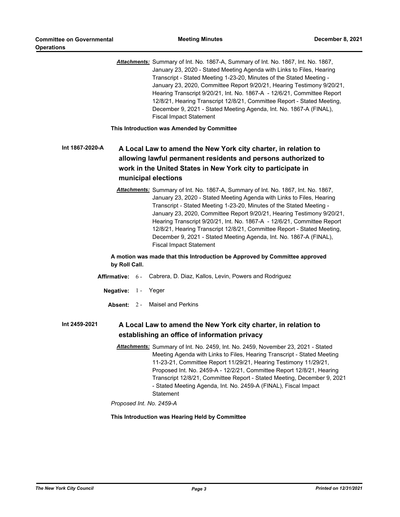*Attachments:* Summary of Int. No. 1867-A, Summary of Int. No. 1867, Int. No. 1867, January 23, 2020 - Stated Meeting Agenda with Links to Files, Hearing Transcript - Stated Meeting 1-23-20, Minutes of the Stated Meeting - January 23, 2020, Committee Report 9/20/21, Hearing Testimony 9/20/21, Hearing Transcript 9/20/21, Int. No. 1867-A - 12/6/21, Committee Report 12/8/21, Hearing Transcript 12/8/21, Committee Report - Stated Meeting, December 9, 2021 - Stated Meeting Agenda, Int. No. 1867-A (FINAL), Fiscal Impact Statement

**This Introduction was Amended by Committee**

## **A Local Law to amend the New York city charter, in relation to allowing lawful permanent residents and persons authorized to work in the United States in New York city to participate in municipal elections Int 1867-2020-A**

*Attachments:* Summary of Int. No. 1867-A, Summary of Int. No. 1867, Int. No. 1867, January 23, 2020 - Stated Meeting Agenda with Links to Files, Hearing Transcript - Stated Meeting 1-23-20, Minutes of the Stated Meeting - January 23, 2020, Committee Report 9/20/21, Hearing Testimony 9/20/21, Hearing Transcript 9/20/21, Int. No. 1867-A - 12/6/21, Committee Report 12/8/21, Hearing Transcript 12/8/21, Committee Report - Stated Meeting, December 9, 2021 - Stated Meeting Agenda, Int. No. 1867-A (FINAL), Fiscal Impact Statement

**A motion was made that this Introduction be Approved by Committee approved by Roll Call.**

- **Affirmative:** 6 Cabrera, D. Diaz, Kallos, Levin, Powers and Rodriguez
	- **Negative:** 1 Yeger
		- **Absent:** 2 Maisel and Perkins

#### **A Local Law to amend the New York city charter, in relation to establishing an office of information privacy Int 2459-2021**

*Attachments:* Summary of Int. No. 2459, Int. No. 2459, November 23, 2021 - Stated Meeting Agenda with Links to Files, Hearing Transcript - Stated Meeting 11-23-21, Committee Report 11/29/21, Hearing Testimony 11/29/21, Proposed Int. No. 2459-A - 12/2/21, Committee Report 12/8/21, Hearing Transcript 12/8/21, Committee Report - Stated Meeting, December 9, 2021 - Stated Meeting Agenda, Int. No. 2459-A (FINAL), Fiscal Impact **Statement** 

*Proposed Int. No. 2459-A*

**This Introduction was Hearing Held by Committee**